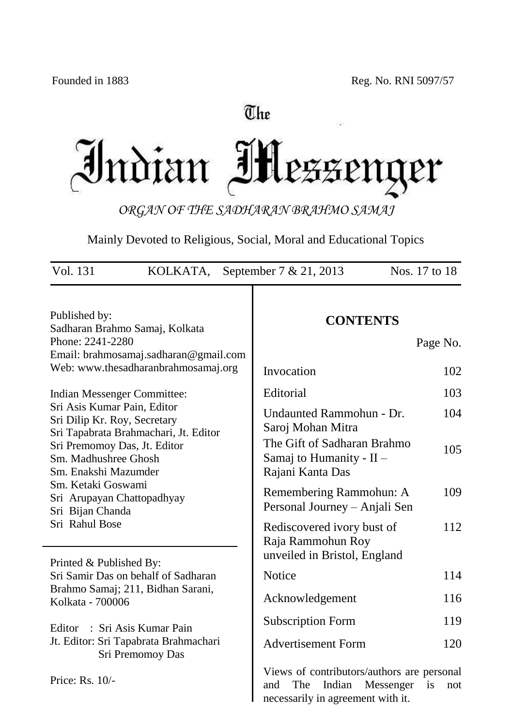# The Indian IH lezzeng **ler**

*ORGAN OF THE SADHARAN BRAHMO SAMAJ*

Mainly Devoted to Religious, Social, Moral and Educational Topics

| Vol. 131<br>KOLKATA,                                                                                                  | September 7 & 21, 2013                                                                                               | Nos. 17 to 18 |
|-----------------------------------------------------------------------------------------------------------------------|----------------------------------------------------------------------------------------------------------------------|---------------|
| Published by:<br>Sadharan Brahmo Samaj, Kolkata                                                                       | <b>CONTENTS</b>                                                                                                      |               |
| Phone: 2241-2280<br>Email: brahmosamaj.sadharan@gmail.com                                                             |                                                                                                                      | Page No.      |
| Web: www.thesadharanbrahmosamaj.org                                                                                   | Invocation                                                                                                           | 102           |
| Indian Messenger Committee:                                                                                           | Editorial                                                                                                            | 103           |
| Sri Asis Kumar Pain, Editor<br>Sri Dilip Kr. Roy, Secretary                                                           | Undaunted Rammohun - Dr.<br>Saroj Mohan Mitra                                                                        | 104           |
| Sri Tapabrata Brahmachari, Jt. Editor<br>Sri Premomoy Das, Jt. Editor<br>Sm. Madhushree Ghosh<br>Sm. Enakshi Mazumder | The Gift of Sadharan Brahmo<br>Samaj to Humanity - II -<br>Rajani Kanta Das                                          | 105           |
| Sm. Ketaki Goswami<br>Sri Arupayan Chattopadhyay<br>Sri Bijan Chanda                                                  | Remembering Rammohun: A<br>Personal Journey – Anjali Sen                                                             | 109           |
| Sri Rahul Bose                                                                                                        | Rediscovered ivory bust of<br>Raja Rammohun Roy<br>unveiled in Bristol, England                                      | 112           |
| Printed & Published By:<br>Sri Samir Das on behalf of Sadharan                                                        | <b>Notice</b>                                                                                                        | 114           |
| Brahmo Samaj; 211, Bidhan Sarani,<br>Kolkata - 700006                                                                 | Acknowledgement                                                                                                      | 116           |
| : Sri Asis Kumar Pain<br>Editor                                                                                       | <b>Subscription Form</b>                                                                                             | 119           |
| Jt. Editor: Sri Tapabrata Brahmachari<br>Sri Premomoy Das                                                             | <b>Advertisement Form</b>                                                                                            | 120           |
| Price: Rs. 10/-                                                                                                       | Views of contributors/authors are personal<br>Indian<br>Messenger<br>The<br>and<br>necessarily in agreement with it. | is<br>not     |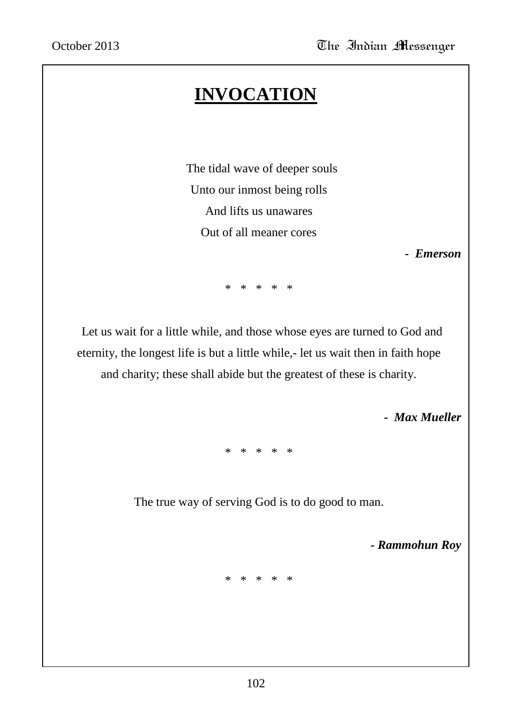# **INVOCATION**

 The tidal wave of deeper souls Unto our inmost being rolls And lifts us unawares Out of all meaner cores

 *- Emerson*

\* \* \* \* \*

 Let us wait for a little while, and those whose eyes are turned to God and eternity, the longest life is but a little while,- let us wait then in faith hope and charity; these shall abide but the greatest of these is charity.

 *- Max Mueller*

\* \* \* \* \*

The true way of serving God is to do good to man.

 *- Rammohun Roy*

\* \* \* \* \*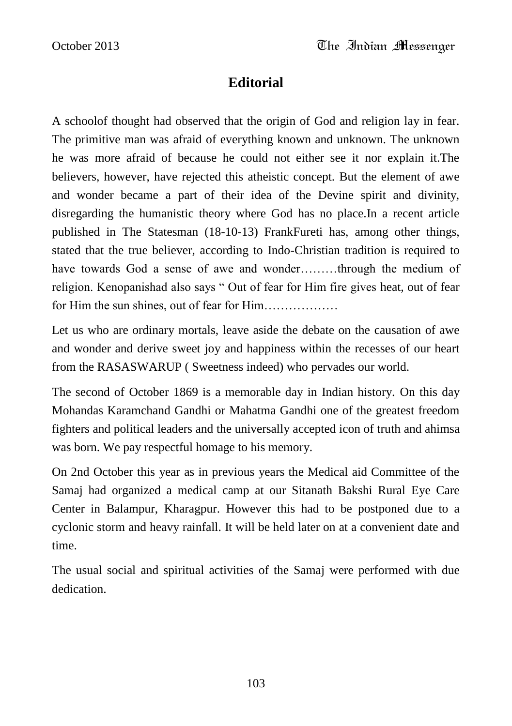# **Editorial**

A schoolof thought had observed that the origin of God and religion lay in fear. The primitive man was afraid of everything known and unknown. The unknown he was more afraid of because he could not either see it nor explain it.The believers, however, have rejected this atheistic concept. But the element of awe and wonder became a part of their idea of the Devine spirit and divinity, disregarding the humanistic theory where God has no place.In a recent article published in The Statesman (18-10-13) FrankFureti has, among other things, stated that the true believer, according to Indo-Christian tradition is required to have towards God a sense of awe and wonder………through the medium of religion. Kenopanishad also says " Out of fear for Him fire gives heat, out of fear for Him the sun shines, out of fear for Him………………

Let us who are ordinary mortals, leave aside the debate on the causation of awe and wonder and derive sweet joy and happiness within the recesses of our heart from the RASASWARUP ( Sweetness indeed) who pervades our world.

The second of October 1869 is a memorable day in Indian history. On this day Mohandas Karamchand Gandhi or Mahatma Gandhi one of the greatest freedom fighters and political leaders and the universally accepted icon of truth and ahimsa was born. We pay respectful homage to his memory.

On 2nd October this year as in previous years the Medical aid Committee of the Samaj had organized a medical camp at our Sitanath Bakshi Rural Eye Care Center in Balampur, Kharagpur. However this had to be postponed due to a cyclonic storm and heavy rainfall. It will be held later on at a convenient date and time.

The usual social and spiritual activities of the Samaj were performed with due dedication.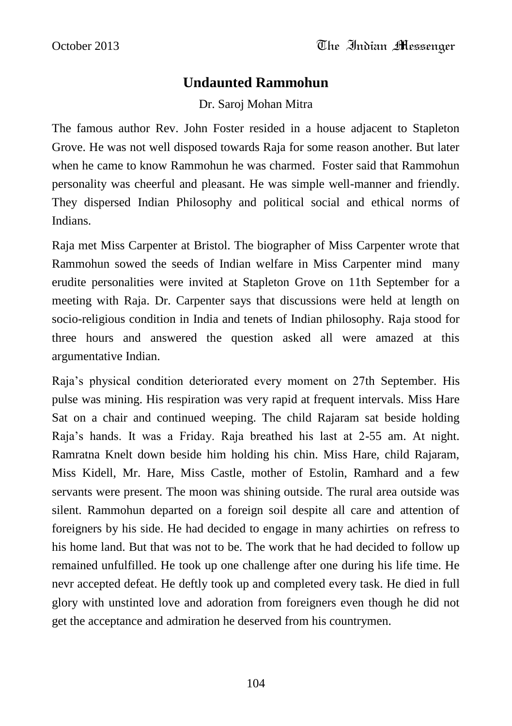## **Undaunted Rammohun**

Dr. Saroj Mohan Mitra

The famous author Rev. John Foster resided in a house adjacent to Stapleton Grove. He was not well disposed towards Raja for some reason another. But later when he came to know Rammohun he was charmed. Foster said that Rammohun personality was cheerful and pleasant. He was simple well-manner and friendly. They dispersed Indian Philosophy and political social and ethical norms of Indians.

Raja met Miss Carpenter at Bristol. The biographer of Miss Carpenter wrote that Rammohun sowed the seeds of Indian welfare in Miss Carpenter mind many erudite personalities were invited at Stapleton Grove on 11th September for a meeting with Raja. Dr. Carpenter says that discussions were held at length on socio-religious condition in India and tenets of Indian philosophy. Raja stood for three hours and answered the question asked all were amazed at this argumentative Indian.

Raja"s physical condition deteriorated every moment on 27th September. His pulse was mining. His respiration was very rapid at frequent intervals. Miss Hare Sat on a chair and continued weeping. The child Rajaram sat beside holding Raja"s hands. It was a Friday. Raja breathed his last at 2-55 am. At night. Ramratna Knelt down beside him holding his chin. Miss Hare, child Rajaram, Miss Kidell, Mr. Hare, Miss Castle, mother of Estolin, Ramhard and a few servants were present. The moon was shining outside. The rural area outside was silent. Rammohun departed on a foreign soil despite all care and attention of foreigners by his side. He had decided to engage in many achirties on refress to his home land. But that was not to be. The work that he had decided to follow up remained unfulfilled. He took up one challenge after one during his life time. He nevr accepted defeat. He deftly took up and completed every task. He died in full glory with unstinted love and adoration from foreigners even though he did not get the acceptance and admiration he deserved from his countrymen.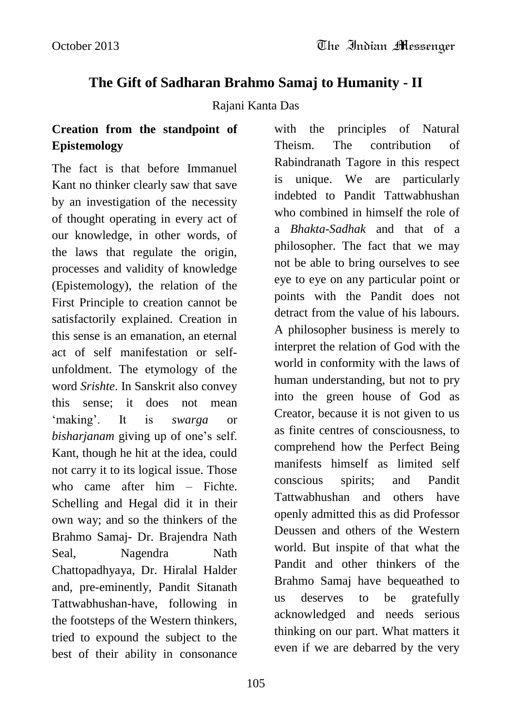# **The Gift of Sadharan Brahmo Samaj to Humanity - II**

#### Rajani Kanta Das

## **Creation from the standpoint of Epistemology**

The fact is that before Immanuel Kant no thinker clearly saw that save by an investigation of the necessity of thought operating in every act of our knowledge, in other words, of the laws that regulate the origin, processes and validity of knowledge (Epistemology), the relation of the First Principle to creation cannot be satisfactorily explained. Creation in this sense is an emanation, an eternal act of self manifestation or selfunfoldment. The etymology of the word *Srishte*. In Sanskrit also convey this sense; it does not mean "making". It is *swarga* or *bisharjanam* giving up of one's self. Kant, though he hit at the idea, could not carry it to its logical issue. Those who came after him – Fichte. Schelling and Hegal did it in their own way; and so the thinkers of the Brahmo Samaj- Dr. Brajendra Nath Seal, Nagendra Nath Chattopadhyaya, Dr. Hiralal Halder and, pre-eminently, Pandit Sitanath Tattwabhushan-have, following in the footsteps of the Western thinkers, tried to expound the subject to the best of their ability in consonance

with the principles of Natural Theism. The contribution of Rabindranath Tagore in this respect is unique. We are particularly indebted to Pandit Tattwabhushan who combined in himself the role of a *Bhakta-Sadhak* and that of a philosopher. The fact that we may not be able to bring ourselves to see eye to eye on any particular point or points with the Pandit does not detract from the value of his labours. A philosopher business is merely to interpret the relation of God with the world in conformity with the laws of human understanding, but not to pry into the green house of God as Creator, because it is not given to us as finite centres of consciousness, to comprehend how the Perfect Being manifests himself as limited self conscious spirits; and Pandit Tattwabhushan and others have openly admitted this as did Professor Deussen and others of the Western world. But inspite of that what the Pandit and other thinkers of the Brahmo Samaj have bequeathed to us deserves to be gratefully acknowledged and needs serious thinking on our part. What matters it even if we are debarred by the very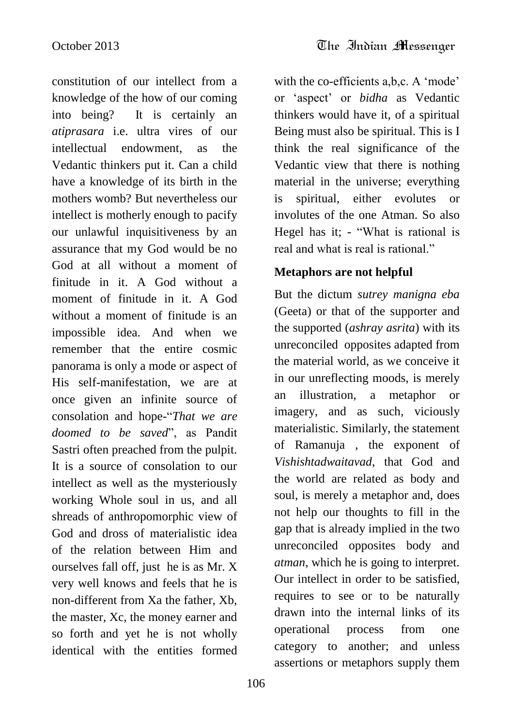constitution of our intellect from a knowledge of the how of our coming into being? It is certainly an *atiprasara* i.e. ultra vires of our intellectual endowment, as the Vedantic thinkers put it. Can a child have a knowledge of its birth in the mothers womb? But nevertheless our intellect is motherly enough to pacify our unlawful inquisitiveness by an assurance that my God would be no God at all without a moment of finitude in it. A God without a moment of finitude in it. A God without a moment of finitude is an impossible idea. And when we remember that the entire cosmic panorama is only a mode or aspect of His self-manifestation, we are at once given an infinite source of consolation and hope-"*That we are doomed to be saved*", as Pandit Sastri often preached from the pulpit. It is a source of consolation to our intellect as well as the mysteriously working Whole soul in us, and all shreads of anthropomorphic view of God and dross of materialistic idea of the relation between Him and ourselves fall off, just he is as Mr. X very well knows and feels that he is non-different from Xa the father, Xb, the master, Xc, the money earner and so forth and yet he is not wholly identical with the entities formed

with the co-efficients a,b,c. A 'mode' or "aspect" or *bidha* as Vedantic thinkers would have it, of a spiritual Being must also be spiritual. This is I think the real significance of the Vedantic view that there is nothing material in the universe; everything is spiritual, either evolutes or involutes of the one Atman. So also Hegel has it; - "What is rational is real and what is real is rational."

## **Metaphors are not helpful**

But the dictum *sutrey manigna eba* (Geeta) or that of the supporter and the supported (*ashray asrita*) with its unreconciled opposites adapted from the material world, as we conceive it in our unreflecting moods, is merely an illustration, a metaphor or imagery, and as such, viciously materialistic. Similarly, the statement of Ramanuja , the exponent of *Vishishtadwaitavad*, that God and the world are related as body and soul, is merely a metaphor and, does not help our thoughts to fill in the gap that is already implied in the two unreconciled opposites body and *atman*, which he is going to interpret. Our intellect in order to be satisfied, requires to see or to be naturally drawn into the internal links of its operational process from one category to another; and unless assertions or metaphors supply them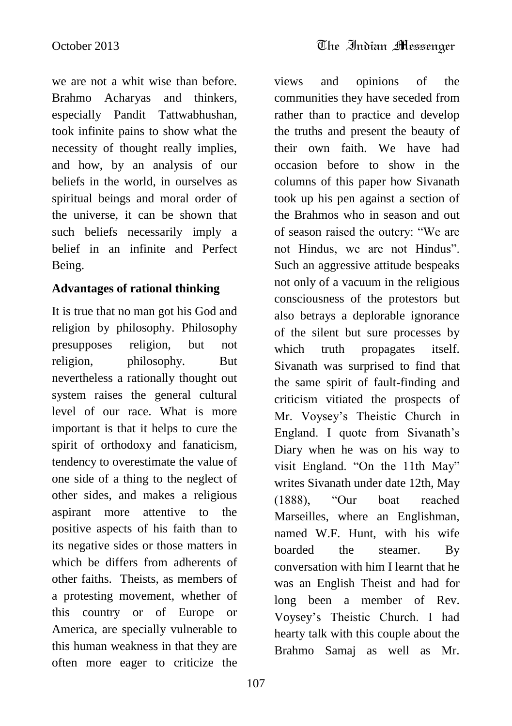views and opinions of the

we are not a whit wise than before. Brahmo Acharyas and thinkers, especially Pandit Tattwabhushan, took infinite pains to show what the necessity of thought really implies, and how, by an analysis of our beliefs in the world, in ourselves as spiritual beings and moral order of the universe, it can be shown that such beliefs necessarily imply a belief in an infinite and Perfect Being.

#### **Advantages of rational thinking**

It is true that no man got his God and religion by philosophy. Philosophy presupposes religion, but not religion, philosophy. But nevertheless a rationally thought out system raises the general cultural level of our race. What is more important is that it helps to cure the spirit of orthodoxy and fanaticism, tendency to overestimate the value of one side of a thing to the neglect of other sides, and makes a religious aspirant more attentive to the positive aspects of his faith than to its negative sides or those matters in which be differs from adherents of other faiths. Theists, as members of a protesting movement, whether of this country or of Europe or America, are specially vulnerable to this human weakness in that they are often more eager to criticize the

communities they have seceded from rather than to practice and develop the truths and present the beauty of their own faith. We have had occasion before to show in the columns of this paper how Sivanath took up his pen against a section of the Brahmos who in season and out of season raised the outcry: "We are not Hindus, we are not Hindus". Such an aggressive attitude bespeaks not only of a vacuum in the religious consciousness of the protestors but also betrays a deplorable ignorance of the silent but sure processes by which truth propagates itself. Sivanath was surprised to find that the same spirit of fault-finding and criticism vitiated the prospects of Mr. Voysey"s Theistic Church in England. I quote from Sivanath's Diary when he was on his way to visit England. "On the 11th May" writes Sivanath under date 12th, May (1888), "Our boat reached Marseilles, where an Englishman, named W.F. Hunt, with his wife boarded the steamer. By conversation with him I learnt that he was an English Theist and had for long been a member of Rev. Voysey"s Theistic Church. I had hearty talk with this couple about the Brahmo Samaj as well as Mr.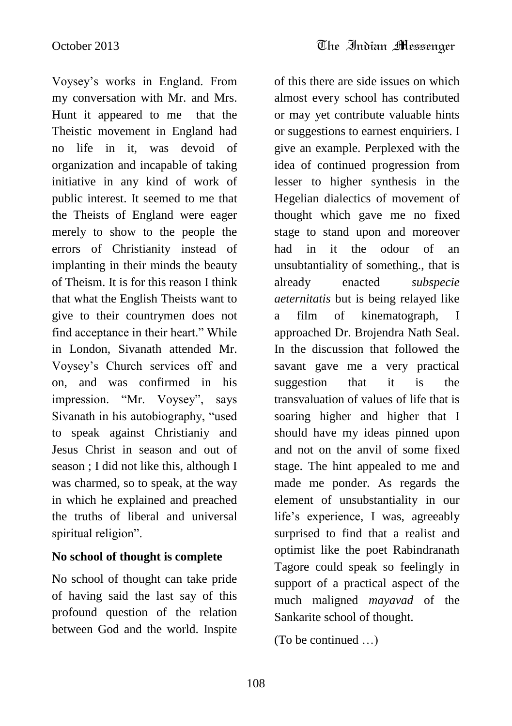Voysey"s works in England. From my conversation with Mr. and Mrs. Hunt it appeared to me that the Theistic movement in England had no life in it, was devoid of organization and incapable of taking initiative in any kind of work of public interest. It seemed to me that the Theists of England were eager merely to show to the people the errors of Christianity instead of implanting in their minds the beauty of Theism. It is for this reason I think that what the English Theists want to give to their countrymen does not find acceptance in their heart." While in London, Sivanath attended Mr. Voysey"s Church services off and on, and was confirmed in his impression. "Mr. Voysey", says Sivanath in his autobiography, "used to speak against Christianiy and Jesus Christ in season and out of season ; I did not like this, although I was charmed, so to speak, at the way in which he explained and preached the truths of liberal and universal spiritual religion".

### **No school of thought is complete**

No school of thought can take pride of having said the last say of this profound question of the relation between God and the world. Inspite

of this there are side issues on which almost every school has contributed or may yet contribute valuable hints or suggestions to earnest enquiriers. I give an example. Perplexed with the idea of continued progression from lesser to higher synthesis in the Hegelian dialectics of movement of thought which gave me no fixed stage to stand upon and moreover had in it the odour of an unsubtantiality of something., that is already enacted *subspecie aeternitatis* but is being relayed like a film of kinematograph, I approached Dr. Brojendra Nath Seal. In the discussion that followed the savant gave me a very practical suggestion that it is the transvaluation of values of life that is soaring higher and higher that I should have my ideas pinned upon and not on the anvil of some fixed stage. The hint appealed to me and made me ponder. As regards the element of unsubstantiality in our life's experience, I was, agreeably surprised to find that a realist and optimist like the poet Rabindranath Tagore could speak so feelingly in support of a practical aspect of the much maligned *mayavad* of the Sankarite school of thought.

(To be continued …)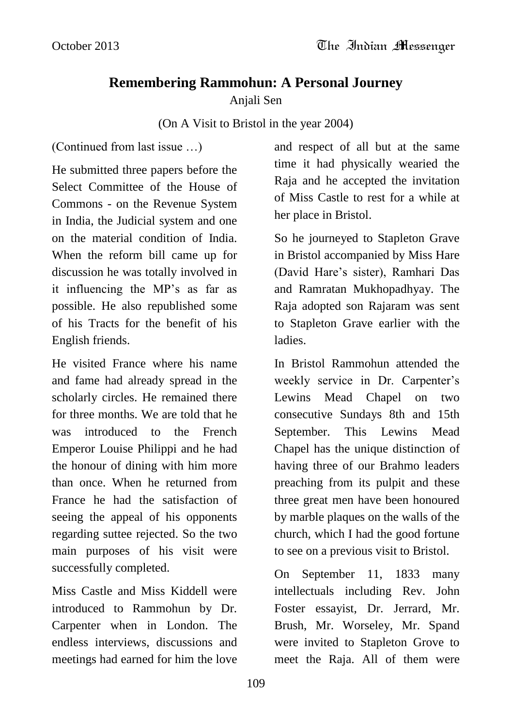# **Remembering Rammohun: A Personal Journey**

# Anjali Sen

# (On A Visit to Bristol in the year 2004)

(Continued from last issue …)

He submitted three papers before the Select Committee of the House of Commons - on the Revenue System in India, the Judicial system and one on the material condition of India. When the reform bill came up for discussion he was totally involved in it influencing the MP"s as far as possible. He also republished some of his Tracts for the benefit of his English friends.

He visited France where his name and fame had already spread in the scholarly circles. He remained there for three months. We are told that he was introduced to the French Emperor Louise Philippi and he had the honour of dining with him more than once. When he returned from France he had the satisfaction of seeing the appeal of his opponents regarding suttee rejected. So the two main purposes of his visit were successfully completed.

Miss Castle and Miss Kiddell were introduced to Rammohun by Dr. Carpenter when in London. The endless interviews, discussions and meetings had earned for him the love

and respect of all but at the same time it had physically wearied the Raja and he accepted the invitation of Miss Castle to rest for a while at her place in Bristol.

So he journeyed to Stapleton Grave in Bristol accompanied by Miss Hare (David Hare"s sister), Ramhari Das and Ramratan Mukhopadhyay. The Raja adopted son Rajaram was sent to Stapleton Grave earlier with the ladies.

In Bristol Rammohun attended the weekly service in Dr. Carpenter's Lewins Mead Chapel on two consecutive Sundays 8th and 15th September. This Lewins Mead Chapel has the unique distinction of having three of our Brahmo leaders preaching from its pulpit and these three great men have been honoured by marble plaques on the walls of the church, which I had the good fortune to see on a previous visit to Bristol.

On September 11, 1833 many intellectuals including Rev. John Foster essayist, Dr. Jerrard, Mr. Brush, Mr. Worseley, Mr. Spand were invited to Stapleton Grove to meet the Raja. All of them were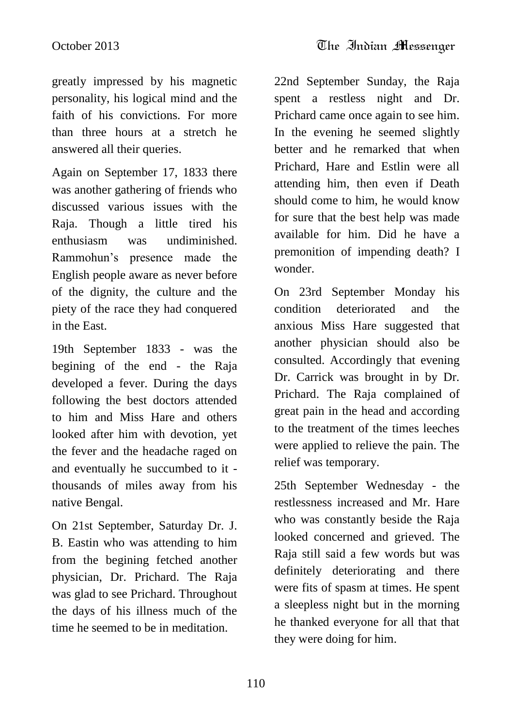greatly impressed by his magnetic personality, his logical mind and the faith of his convictions. For more than three hours at a stretch he answered all their queries.

Again on September 17, 1833 there was another gathering of friends who discussed various issues with the Raja. Though a little tired his enthusiasm was undiminished. Rammohun"s presence made the English people aware as never before of the dignity, the culture and the piety of the race they had conquered in the East.

19th September 1833 - was the begining of the end - the Raja developed a fever. During the days following the best doctors attended to him and Miss Hare and others looked after him with devotion, yet the fever and the headache raged on and eventually he succumbed to it thousands of miles away from his native Bengal.

On 21st September, Saturday Dr. J. B. Eastin who was attending to him from the begining fetched another physician, Dr. Prichard. The Raja was glad to see Prichard. Throughout the days of his illness much of the time he seemed to be in meditation.

22nd September Sunday, the Raja spent a restless night and Dr. Prichard came once again to see him. In the evening he seemed slightly better and he remarked that when Prichard, Hare and Estlin were all attending him, then even if Death should come to him, he would know for sure that the best help was made available for him. Did he have a premonition of impending death? I wonder.

On 23rd September Monday his condition deteriorated and the anxious Miss Hare suggested that another physician should also be consulted. Accordingly that evening Dr. Carrick was brought in by Dr. Prichard. The Raja complained of great pain in the head and according to the treatment of the times leeches were applied to relieve the pain. The relief was temporary.

25th September Wednesday - the restlessness increased and Mr. Hare who was constantly beside the Raja looked concerned and grieved. The Raja still said a few words but was definitely deteriorating and there were fits of spasm at times. He spent a sleepless night but in the morning he thanked everyone for all that that they were doing for him.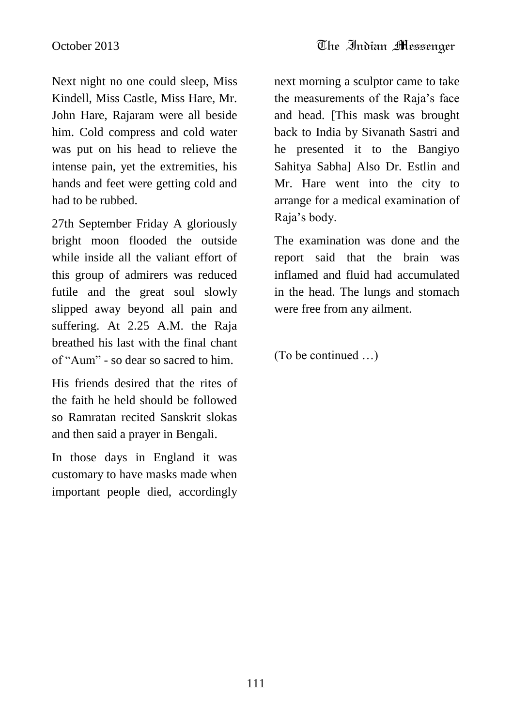Next night no one could sleep, Miss Kindell, Miss Castle, Miss Hare, Mr. John Hare, Rajaram were all beside him. Cold compress and cold water was put on his head to relieve the intense pain, yet the extremities, his hands and feet were getting cold and had to be rubbed.

27th September Friday A gloriously bright moon flooded the outside while inside all the valiant effort of this group of admirers was reduced futile and the great soul slowly slipped away beyond all pain and suffering. At 2.25 A.M. the Raja breathed his last with the final chant of "Aum" - so dear so sacred to him.

His friends desired that the rites of the faith he held should be followed so Ramratan recited Sanskrit slokas and then said a prayer in Bengali.

In those days in England it was customary to have masks made when important people died, accordingly next morning a sculptor came to take the measurements of the Raja"s face and head. [This mask was brought back to India by Sivanath Sastri and he presented it to the Bangiyo Sahitya Sabha] Also Dr. Estlin and Mr. Hare went into the city to arrange for a medical examination of Raja"s body.

The examination was done and the report said that the brain was inflamed and fluid had accumulated in the head. The lungs and stomach were free from any ailment.

(To be continued …)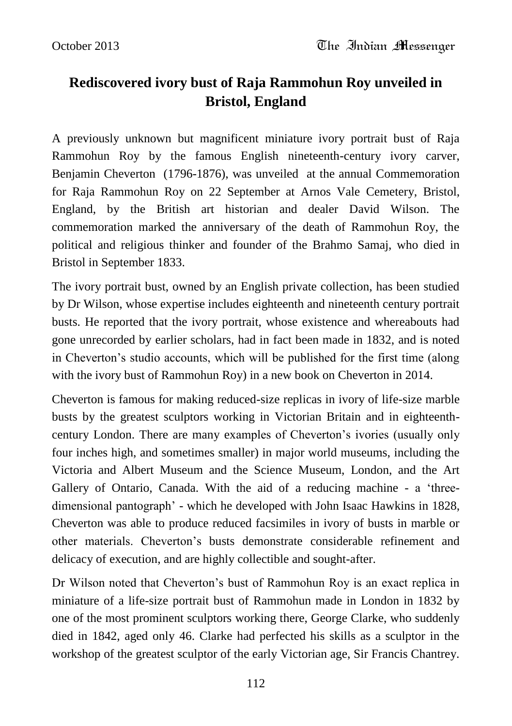# **Rediscovered ivory bust of Raja Rammohun Roy unveiled in Bristol, England**

A previously unknown but magnificent miniature ivory portrait bust of Raja Rammohun Roy by the famous English nineteenth-century ivory carver, Benjamin Cheverton (1796-1876), was unveiled at the annual Commemoration for Raja Rammohun Roy on 22 September at Arnos Vale Cemetery, Bristol, England, by the British art historian and dealer David Wilson. The commemoration marked the anniversary of the death of Rammohun Roy, the political and religious thinker and founder of the Brahmo Samaj, who died in Bristol in September 1833.

The ivory portrait bust, owned by an English private collection, has been studied by Dr Wilson, whose expertise includes eighteenth and nineteenth century portrait busts. He reported that the ivory portrait, whose existence and whereabouts had gone unrecorded by earlier scholars, had in fact been made in 1832, and is noted in Cheverton's studio accounts, which will be published for the first time (along with the ivory bust of Rammohun Roy) in a new book on Cheverton in 2014.

Cheverton is famous for making reduced-size replicas in ivory of life-size marble busts by the greatest sculptors working in Victorian Britain and in eighteenthcentury London. There are many examples of Cheverton"s ivories (usually only four inches high, and sometimes smaller) in major world museums, including the Victoria and Albert Museum and the Science Museum, London, and the Art Gallery of Ontario, Canada. With the aid of a reducing machine - a "threedimensional pantograph" - which he developed with John Isaac Hawkins in 1828, Cheverton was able to produce reduced facsimiles in ivory of busts in marble or other materials. Cheverton"s busts demonstrate considerable refinement and delicacy of execution, and are highly collectible and sought-after.

Dr Wilson noted that Cheverton"s bust of Rammohun Roy is an exact replica in miniature of a life-size portrait bust of Rammohun made in London in 1832 by one of the most prominent sculptors working there, George Clarke, who suddenly died in 1842, aged only 46. Clarke had perfected his skills as a sculptor in the workshop of the greatest sculptor of the early Victorian age, Sir Francis Chantrey.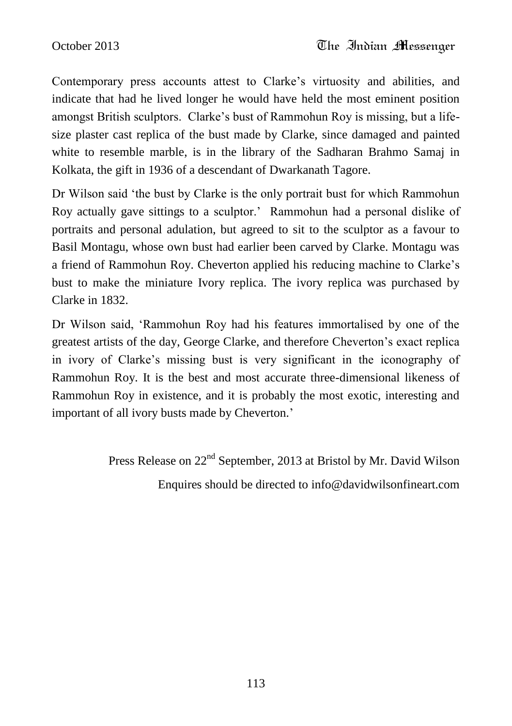Contemporary press accounts attest to Clarke"s virtuosity and abilities, and indicate that had he lived longer he would have held the most eminent position amongst British sculptors. Clarke"s bust of Rammohun Roy is missing, but a lifesize plaster cast replica of the bust made by Clarke, since damaged and painted white to resemble marble, is in the library of the Sadharan Brahmo Samaj in Kolkata, the gift in 1936 of a descendant of Dwarkanath Tagore.

Dr Wilson said "the bust by Clarke is the only portrait bust for which Rammohun Roy actually gave sittings to a sculptor." Rammohun had a personal dislike of portraits and personal adulation, but agreed to sit to the sculptor as a favour to Basil Montagu, whose own bust had earlier been carved by Clarke. Montagu was a friend of Rammohun Roy. Cheverton applied his reducing machine to Clarke"s bust to make the miniature Ivory replica. The ivory replica was purchased by Clarke in 1832.

Dr Wilson said, "Rammohun Roy had his features immortalised by one of the greatest artists of the day, George Clarke, and therefore Cheverton"s exact replica in ivory of Clarke"s missing bust is very significant in the iconography of Rammohun Roy. It is the best and most accurate three-dimensional likeness of Rammohun Roy in existence, and it is probably the most exotic, interesting and important of all ivory busts made by Cheverton.'

> Press Release on 22<sup>nd</sup> September, 2013 at Bristol by Mr. David Wilson Enquires should be directed to [info@davidwilsonfineart.com](mailto:info@davidwilsonfineart.com)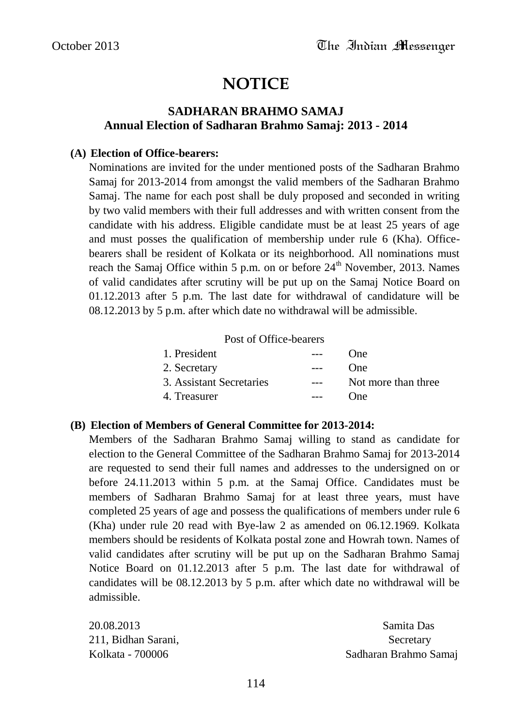# **NOTICE**

#### **SADHARAN BRAHMO SAMAJ Annual Election of Sadharan Brahmo Samaj: 2013 - 2014**

#### **(A) Election of Office-bearers:**

Nominations are invited for the under mentioned posts of the Sadharan Brahmo Samaj for 2013-2014 from amongst the valid members of the Sadharan Brahmo Samaj. The name for each post shall be duly proposed and seconded in writing by two valid members with their full addresses and with written consent from the candidate with his address. Eligible candidate must be at least 25 years of age and must posses the qualification of membership under rule 6 (Kha). Officebearers shall be resident of Kolkata or its neighborhood. All nominations must reach the Samaj Office within 5 p.m. on or before  $24<sup>th</sup>$  November, 2013. Names of valid candidates after scrutiny will be put up on the Samaj Notice Board on 01.12.2013 after 5 p.m. The last date for withdrawal of candidature will be 08.12.2013 by 5 p.m. after which date no withdrawal will be admissible.

#### Post of Office-bearers

| 1. President             |       | ()ne                |
|--------------------------|-------|---------------------|
| 2. Secretary             | $---$ | <b>One</b>          |
| 3. Assistant Secretaries |       | Not more than three |
| 4. Treasurer             |       | ()ne                |

#### **(B) Election of Members of General Committee for 2013-2014:**

Members of the Sadharan Brahmo Samaj willing to stand as candidate for election to the General Committee of the Sadharan Brahmo Samaj for 2013-2014 are requested to send their full names and addresses to the undersigned on or before 24.11.2013 within 5 p.m. at the Samaj Office. Candidates must be members of Sadharan Brahmo Samaj for at least three years, must have completed 25 years of age and possess the qualifications of members under rule 6 (Kha) under rule 20 read with Bye-law 2 as amended on 06.12.1969. Kolkata members should be residents of Kolkata postal zone and Howrah town. Names of valid candidates after scrutiny will be put up on the Sadharan Brahmo Samaj Notice Board on 01.12.2013 after 5 p.m. The last date for withdrawal of candidates will be 08.12.2013 by 5 p.m. after which date no withdrawal will be admissible.

211, Bidhan Sarani, Secretary Secretary

20.08.2013 Samita Das Kolkata - 700006 Sadharan Brahmo Samaj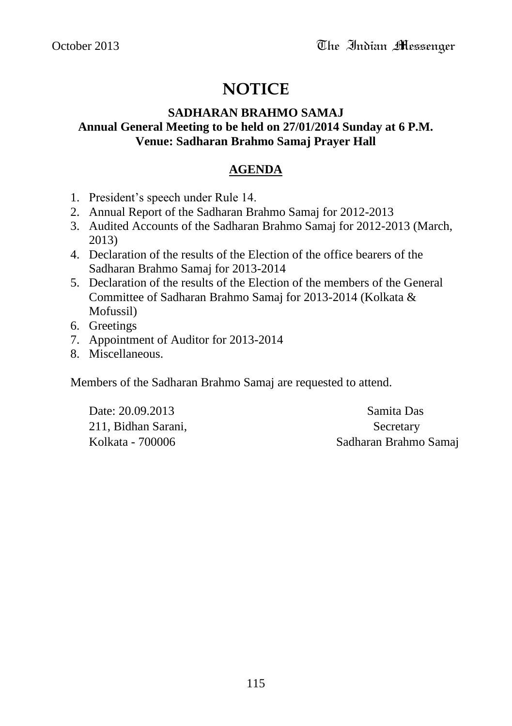# **NOTICE**

#### **SADHARAN BRAHMO SAMAJ Annual General Meeting to be held on 27/01/2014 Sunday at 6 P.M. Venue: Sadharan Brahmo Samaj Prayer Hall**

#### **AGENDA**

- 1. President"s speech under Rule 14.
- 2. Annual Report of the Sadharan Brahmo Samaj for 2012-2013
- 3. Audited Accounts of the Sadharan Brahmo Samaj for 2012-2013 (March, 2013)
- 4. Declaration of the results of the Election of the office bearers of the Sadharan Brahmo Samaj for 2013-2014
- 5. Declaration of the results of the Election of the members of the General Committee of Sadharan Brahmo Samaj for 2013-2014 (Kolkata & Mofussil)
- 6. Greetings
- 7. Appointment of Auditor for 2013-2014
- 8. Miscellaneous.

Members of the Sadharan Brahmo Samaj are requested to attend.

Date: 20.09.2013 Samita Das 211, Bidhan Sarani, Secretary

Kolkata - 700006 Sadharan Brahmo Samaj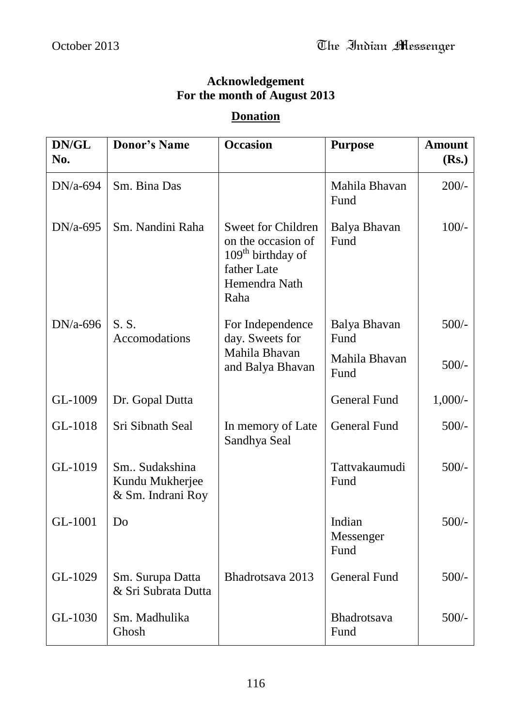#### **Acknowledgement For the month of August 2013**

### **Donation**

| DN/GL<br>No. | <b>Donor's Name</b>                                   | <b>Occasion</b>                                                                                                          | <b>Purpose</b>              | <b>Amount</b><br>(Rs.) |
|--------------|-------------------------------------------------------|--------------------------------------------------------------------------------------------------------------------------|-----------------------------|------------------------|
|              |                                                       |                                                                                                                          |                             |                        |
| $DN/a-694$   | Sm. Bina Das                                          |                                                                                                                          | Mahila Bhavan<br>Fund       | $200/-$                |
| $DN/a-695$   | Sm. Nandini Raha                                      | <b>Sweet for Children</b><br>on the occasion of<br>109 <sup>th</sup> birthday of<br>father Late<br>Hemendra Nath<br>Raha | Balya Bhavan<br>Fund        | $100/-$                |
| $DN/a-696$   | S.S.<br>Accomodations                                 | For Independence<br>day. Sweets for                                                                                      | Balya Bhavan<br>Fund        | $500/-$                |
|              |                                                       | Mahila Bhavan<br>and Balya Bhavan                                                                                        | Mahila Bhavan<br>Fund       | $500/-$                |
| GL-1009      | Dr. Gopal Dutta                                       |                                                                                                                          | <b>General Fund</b>         | $1,000/-$              |
| GL-1018      | Sri Sibnath Seal                                      | In memory of Late<br>Sandhya Seal                                                                                        | <b>General Fund</b>         | $500/-$                |
| GL-1019      | Sm Sudakshina<br>Kundu Mukherjee<br>& Sm. Indrani Roy |                                                                                                                          | Tattvakaumudi<br>Fund       | $500/-$                |
| GL-1001      | Do                                                    |                                                                                                                          | Indian<br>Messenger<br>Fund | $500/-$                |
| GL-1029      | Sm. Surupa Datta<br>& Sri Subrata Dutta               | Bhadrotsava 2013                                                                                                         | <b>General Fund</b>         | $500/-$                |
| GL-1030      | Sm. Madhulika<br>Ghosh                                |                                                                                                                          | Bhadrotsava<br>Fund         | $500/-$                |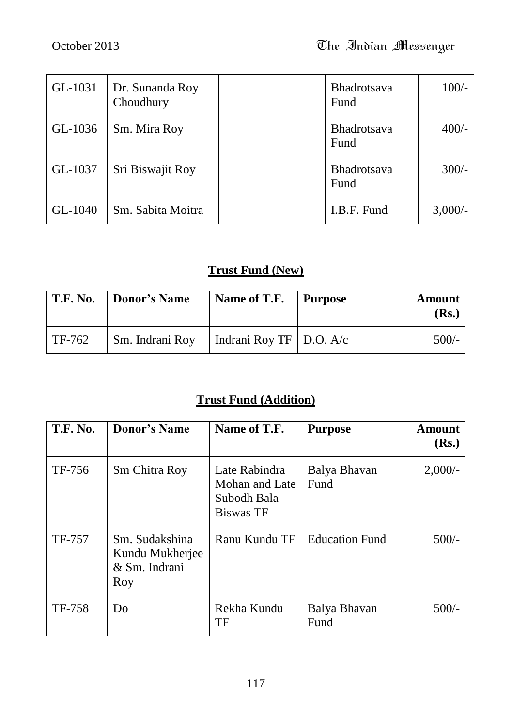| GL-1031 | Dr. Sunanda Roy<br>Choudhury | <b>Bhadrotsava</b><br>Fund | $100/-$    |
|---------|------------------------------|----------------------------|------------|
| GL-1036 | Sm. Mira Roy                 | <b>Bhadrotsava</b><br>Fund | $400/-$    |
| GL-1037 | Sri Biswajit Roy             | Bhadrotsava<br>Fund        | $300/-$    |
| GL-1040 | Sm. Sabita Moitra            | I.B.F. Fund                | $3,000/$ - |

# **Trust Fund (New)**

| T.F. No. | <b>Donor's Name</b> | Name of T.F.                            | Purpose | Amount<br>(Rs.) |
|----------|---------------------|-----------------------------------------|---------|-----------------|
| TF-762   | Sm. Indrani Roy     | $\vert$ Indrani Roy TF $\vert$ D.O. A/c |         | $500/-$         |

# **Trust Fund (Addition)**

| <b>T.F. No.</b> | <b>Donor's Name</b>                                       | Name of T.F.                                                       | <b>Purpose</b>        | <b>Amount</b><br>(Rs.) |
|-----------------|-----------------------------------------------------------|--------------------------------------------------------------------|-----------------------|------------------------|
| TF-756          | <b>Sm Chitra Roy</b>                                      | Late Rabindra<br>Mohan and Late<br>Subodh Bala<br><b>Biswas TF</b> | Balya Bhavan<br>Fund  | $2,000/$ -             |
| TF-757          | Sm. Sudakshina<br>Kundu Mukherjee<br>& Sm. Indrani<br>Roy | Ranu Kundu TF                                                      | <b>Education Fund</b> | $500/-$                |
| <b>TF-758</b>   | Do                                                        | Rekha Kundu<br>TF                                                  | Balya Bhavan<br>Fund  | $500/-$                |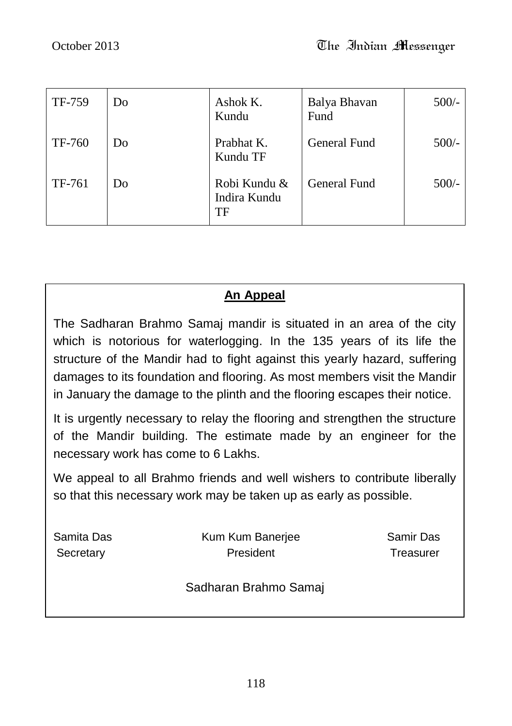| TF-759 | Do | Ashok K.<br>Kundu                  | Balya Bhavan<br>Fund | $500/-$ |
|--------|----|------------------------------------|----------------------|---------|
| TF-760 | Do | Prabhat K.<br>Kundu TF             | General Fund         | $500/-$ |
| TF-761 | Do | Robi Kundu &<br>Indira Kundu<br>TF | <b>General Fund</b>  | $500/-$ |

# **An Appeal**

The Sadharan Brahmo Samaj mandir is situated in an area of the city which is notorious for waterlogging. In the 135 years of its life the structure of the Mandir had to fight against this yearly hazard, suffering damages to its foundation and flooring. As most members visit the Mandir in January the damage to the plinth and the flooring escapes their notice.

It is urgently necessary to relay the flooring and strengthen the structure of the Mandir building. The estimate made by an engineer for the necessary work has come to 6 Lakhs.

We appeal to all Brahmo friends and well wishers to contribute liberally so that this necessary work may be taken up as early as possible.

| Samita Das | Kum Kum Banerjee      | Samir Das |
|------------|-----------------------|-----------|
| Secretary  | President             | Treasurer |
|            | Sadharan Brahmo Samaj |           |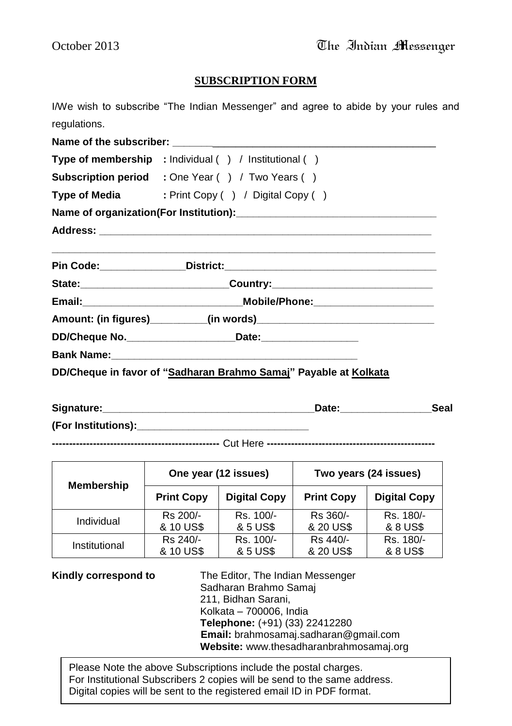#### **SUBSCRIPTION FORM**

I/We wish to subscribe "The Indian Messenger" and agree to abide by your rules and regulations.

Name of the subscriber: **Type of membership :** Individual ( ) / Institutional ( ) **Subscription period :** One Year ( ) / Two Years ( ) **Type of Media** : Print Copy ( ) / Digital Copy ( ) **Name of organization(For Institution):\_\_\_\_\_\_\_\_\_\_\_\_\_\_\_\_\_\_\_\_\_\_\_\_\_\_\_\_\_\_\_\_\_\_\_ Address: \_\_\_\_\_\_\_\_\_\_\_\_\_\_\_\_\_\_\_\_\_\_\_\_\_\_\_\_\_\_\_\_\_\_\_\_\_\_\_\_\_\_\_\_\_\_\_\_\_\_\_\_\_\_\_\_\_\_ \_\_\_\_\_\_\_\_\_\_\_\_\_\_\_\_\_\_\_\_\_\_\_\_\_\_\_\_\_\_\_\_\_\_\_\_\_\_\_\_\_\_\_\_\_\_\_\_\_\_\_\_\_\_\_\_\_\_\_\_\_\_\_\_\_\_\_ Pin Code:\_\_\_\_\_\_\_\_\_\_\_\_\_\_\_District:\_\_\_\_\_\_\_\_\_\_\_\_\_\_\_\_\_\_\_\_\_\_\_\_\_\_\_\_\_\_\_\_\_\_\_\_\_ State:\_\_\_\_\_\_\_\_\_\_\_\_\_\_\_\_\_\_\_\_\_\_\_\_\_\_Country:\_\_\_\_\_\_\_\_\_\_\_\_\_\_\_\_\_\_\_\_\_\_\_\_\_\_\_\_ Email:\_\_\_\_\_\_\_\_\_\_\_\_\_\_\_\_\_\_\_\_\_\_\_\_\_\_\_\_Mobile/Phone:\_\_\_\_\_\_\_\_\_\_\_\_\_\_\_\_\_\_\_\_\_ Amount: (in figures)\_\_\_\_\_\_\_\_\_\_(in words)\_\_\_\_\_\_\_\_\_\_\_\_\_\_\_\_\_\_\_\_\_\_\_\_\_\_\_\_\_\_\_ DD/Cheque No.\_\_\_\_\_\_\_\_\_\_\_\_\_\_\_\_\_\_\_Date:\_\_\_\_\_\_\_\_\_\_\_\_\_\_\_\_\_ Bank Name: DD/Cheque in favor of "Sadharan Brahmo Samaj" Payable at Kolkata**

| Signature:          | Date | Seal |
|---------------------|------|------|
| (For Institutions): |      |      |

**-------------------------------------------------** Cut Here **-------------------------------------------------**

| One year (12 issues)<br><b>Membership</b> |                   |                     | Two years (24 issues) |                     |
|-------------------------------------------|-------------------|---------------------|-----------------------|---------------------|
|                                           | <b>Print Copy</b> | <b>Digital Copy</b> | <b>Print Copy</b>     | <b>Digital Copy</b> |
| Individual                                | Rs 200/-          | Rs. 100/-           | Rs 360/-              | Rs. 180/-           |
|                                           | & 10 US\$         | & 5 US\$            | & 20 US\$             | & 8 US\$            |
| Institutional                             | Rs 240/-          | Rs. 100/-           | Rs 440/-              | Rs. 180/-           |
|                                           | & 10 US\$         | & 5 US\$            | & 20 US\$             | & 8 US\$            |

**Kindly correspond to** The Editor, The Indian Messenger Sadharan Brahmo Samaj 211, Bidhan Sarani, Kolkata – 700006, India

**Telephone:** (+91) (33) 22412280 **Email:** brahmosamaj.sadharan@gmail.com **Website:** www.thesadharanbrahmosamaj.org

For Institutional Subscribers 2 copies will be send to the same address.<br>Dirital conics will be sent to the serieteral small ID in DDE fermet. Please Note the above Subscriptions include the postal charges. Digital copies will be sent to the registered email ID in PDF format.